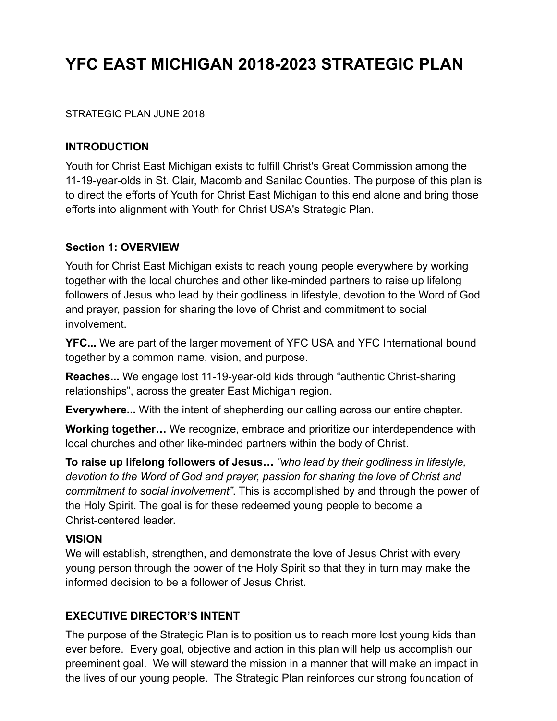# **YFC EAST MICHIGAN 2018-2023 STRATEGIC PLAN**

#### STRATEGIC PLAN JUNE 2018

#### **INTRODUCTION**

Youth for Christ East Michigan exists to fulfill Christ's Great Commission among the 11-19-year-olds in St. Clair, Macomb and Sanilac Counties. The purpose of this plan is to direct the efforts of Youth for Christ East Michigan to this end alone and bring those efforts into alignment with Youth for Christ USA's Strategic Plan.

#### **Section 1: OVERVIEW**

Youth for Christ East Michigan exists to reach young people everywhere by working together with the local churches and other like-minded partners to raise up lifelong followers of Jesus who lead by their godliness in lifestyle, devotion to the Word of God and prayer, passion for sharing the love of Christ and commitment to social involvement.

**YFC...** We are part of the larger movement of YFC USA and YFC International bound together by a common name, vision, and purpose.

**Reaches...** We engage lost 11-19-year-old kids through "authentic Christ-sharing relationships", across the greater East Michigan region.

**Everywhere...** With the intent of shepherding our calling across our entire chapter.

**Working together…** We recognize, embrace and prioritize our interdependence with local churches and other like-minded partners within the body of Christ.

**To raise up lifelong followers of Jesus…** *"who lead by their godliness in lifestyle, devotion to the Word of God and prayer, passion for sharing the love of Christ and commitment to social involvement"*. This is accomplished by and through the power of the Holy Spirit. The goal is for these redeemed young people to become a Christ-centered leader.

#### **VISION**

We will establish, strengthen, and demonstrate the love of Jesus Christ with every young person through the power of the Holy Spirit so that they in turn may make the informed decision to be a follower of Jesus Christ.

#### **EXECUTIVE DIRECTOR'S INTENT**

The purpose of the Strategic Plan is to position us to reach more lost young kids than ever before. Every goal, objective and action in this plan will help us accomplish our preeminent goal. We will steward the mission in a manner that will make an impact in the lives of our young people. The Strategic Plan reinforces our strong foundation of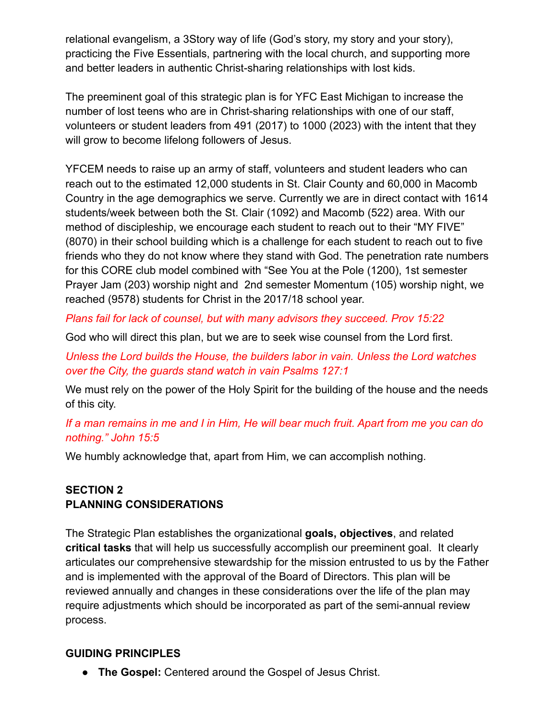relational evangelism, a 3Story way of life (God's story, my story and your story), practicing the Five Essentials, partnering with the local church, and supporting more and better leaders in authentic Christ-sharing relationships with lost kids.

The preeminent goal of this strategic plan is for YFC East Michigan to increase the number of lost teens who are in Christ-sharing relationships with one of our staff, volunteers or student leaders from 491 (2017) to 1000 (2023) with the intent that they will grow to become lifelong followers of Jesus.

YFCEM needs to raise up an army of staff, volunteers and student leaders who can reach out to the estimated 12,000 students in St. Clair County and 60,000 in Macomb Country in the age demographics we serve. Currently we are in direct contact with 1614 students/week between both the St. Clair (1092) and Macomb (522) area. With our method of discipleship, we encourage each student to reach out to their "MY FIVE" (8070) in their school building which is a challenge for each student to reach out to five friends who they do not know where they stand with God. The penetration rate numbers for this CORE club model combined with "See You at the Pole (1200), 1st semester Prayer Jam (203) worship night and 2nd semester Momentum (105) worship night, we reached (9578) students for Christ in the 2017/18 school year.

*Plans fail for lack of counsel, but with many advisors they succeed. Prov 15:22*

God who will direct this plan, but we are to seek wise counsel from the Lord first.

*Unless the Lord builds the House, the builders labor in vain. Unless the Lord watches over the City, the guards stand watch in vain Psalms 127:1*

We must rely on the power of the Holy Spirit for the building of the house and the needs of this city.

*If a man remains in me and I in Him, He will bear much fruit. Apart from me you can do nothing." John 15:5*

We humbly acknowledge that, apart from Him, we can accomplish nothing.

# **SECTION 2 PLANNING CONSIDERATIONS**

The Strategic Plan establishes the organizational **goals, objectives**, and related **critical tasks** that will help us successfully accomplish our preeminent goal. It clearly articulates our comprehensive stewardship for the mission entrusted to us by the Father and is implemented with the approval of the Board of Directors. This plan will be reviewed annually and changes in these considerations over the life of the plan may require adjustments which should be incorporated as part of the semi-annual review process.

# **GUIDING PRINCIPLES**

● **The Gospel:** Centered around the Gospel of Jesus Christ.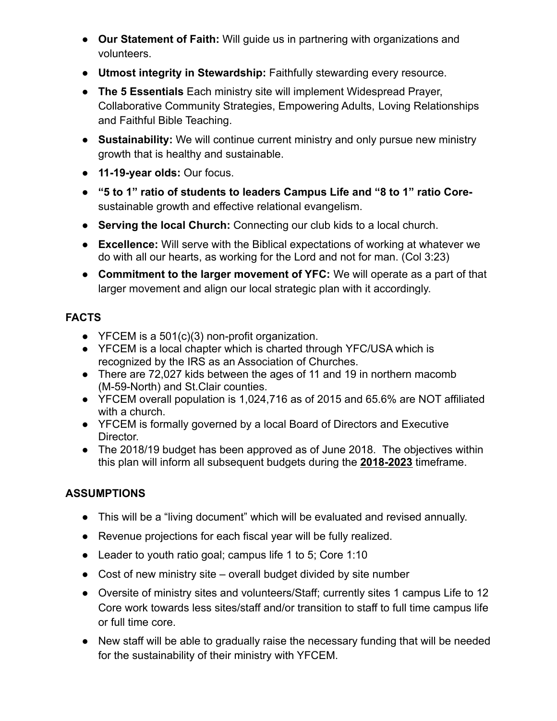- **Our Statement of Faith:** Will guide us in partnering with organizations and volunteers.
- **Utmost integrity in Stewardship:** Faithfully stewarding every resource.
- **The 5 Essentials** Each ministry site will implement Widespread Prayer, Collaborative Community Strategies, Empowering Adults, Loving Relationships and Faithful Bible Teaching.
- **Sustainability:** We will continue current ministry and only pursue new ministry growth that is healthy and sustainable.
- **11-19-year olds:** Our focus.
- **"5 to 1" ratio of students to leaders Campus Life and "8 to 1" ratio Core**sustainable growth and effective relational evangelism.
- **Serving the local Church:** Connecting our club kids to a local church.
- **Excellence:** Will serve with the Biblical expectations of working at whatever we do with all our hearts, as working for the Lord and not for man. (Col 3:23)
- **Commitment to the larger movement of YFC:** We will operate as a part of that larger movement and align our local strategic plan with it accordingly.

# **FACTS**

- YFCEM is a 501(c)(3) non-profit organization.
- YFCEM is a local chapter which is charted through YFC/USA which is recognized by the IRS as an Association of Churches.
- There are 72,027 kids between the ages of 11 and 19 in northern macomb (M-59-North) and St.Clair counties.
- YFCEM overall population is 1,024,716 as of 2015 and 65.6% are NOT affiliated with a church.
- YFCEM is formally governed by a local Board of Directors and Executive Director.
- The 2018/19 budget has been approved as of June 2018. The objectives within this plan will inform all subsequent budgets during the **2018-2023** timeframe.

# **ASSUMPTIONS**

- This will be a "living document" which will be evaluated and revised annually.
- Revenue projections for each fiscal year will be fully realized.
- Leader to youth ratio goal; campus life 1 to 5; Core 1:10
- Cost of new ministry site overall budget divided by site number
- Oversite of ministry sites and volunteers/Staff; currently sites 1 campus Life to 12 Core work towards less sites/staff and/or transition to staff to full time campus life or full time core.
- New staff will be able to gradually raise the necessary funding that will be needed for the sustainability of their ministry with YFCEM.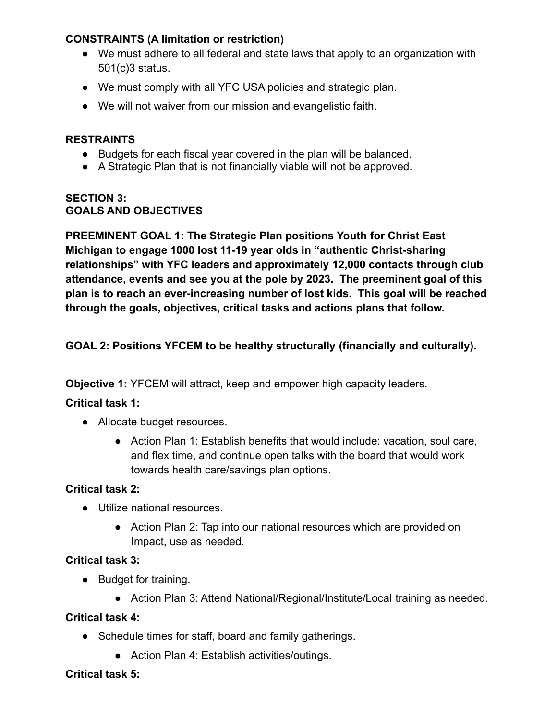## **CONSTRAINTS (A limitation or restriction)**

- We must adhere to all federal and state laws that apply to an organization with 501(c)3 status.
- We must comply with all YFC USA policies and strategic plan.
- We will not waiver from our mission and evangelistic faith.

#### **RESTRAINTS**

- Budgets for each fiscal year covered in the plan will be balanced.
- A Strategic Plan that is not financially viable will not be approved.

#### **SECTION 3: GOALS AND OBJECTIVES**

**PREEMINENT GOAL 1: The Strategic Plan positions Youth for Christ East Michigan to engage 1000 lost 11-19 year olds in "authentic Christ-sharing relationships" with YFC leaders and approximately 12,000 contacts through club attendance, events and see you at the pole by 2023. The preeminent goal of this plan is to reach an ever-increasing number of lost kids. This goal will be reached through the goals, objectives, critical tasks and actions plans that follow.**

**GOAL 2: Positions YFCEM to be healthy structurally (financially and culturally).**

**Objective 1:** YFCEM will attract, keep and empower high capacity leaders.

#### **Critical task 1:**

- Allocate budget resources.
	- Action Plan 1: Establish benefits that would include: vacation, soul care, and flex time, and continue open talks with the board that would work towards health care/savings plan options.

#### **Critical task 2:**

- Utilize national resources
	- Action Plan 2: Tap into our national resources which are provided on Impact, use as needed.

#### **Critical task 3:**

- Budget for training.
	- Action Plan 3: Attend National/Regional/Institute/Local training as needed.

#### **Critical task 4:**

- Schedule times for staff, board and family gatherings.
	- Action Plan 4: Establish activities/outings.

#### **Critical task 5:**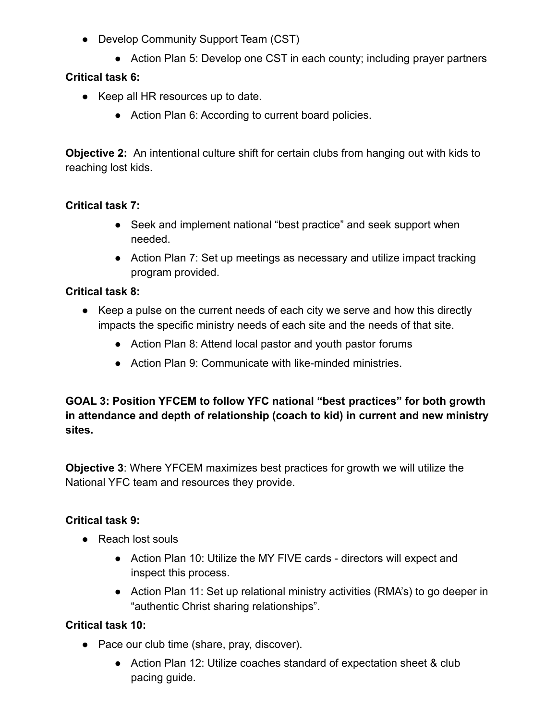- Develop Community Support Team (CST)
	- Action Plan 5: Develop one CST in each county; including prayer partners

## **Critical task 6:**

- Keep all HR resources up to date.
	- Action Plan 6: According to current board policies.

**Objective 2:** An intentional culture shift for certain clubs from hanging out with kids to reaching lost kids.

#### **Critical task 7:**

- Seek and implement national "best practice" and seek support when needed.
- Action Plan 7: Set up meetings as necessary and utilize impact tracking program provided.

## **Critical task 8:**

- Keep a pulse on the current needs of each city we serve and how this directly impacts the specific ministry needs of each site and the needs of that site.
	- Action Plan 8: Attend local pastor and youth pastor forums
	- Action Plan 9: Communicate with like-minded ministries.

**GOAL 3: Position YFCEM to follow YFC national "best practices" for both growth in attendance and depth of relationship (coach to kid) in current and new ministry sites.**

**Objective 3**: Where YFCEM maximizes best practices for growth we will utilize the National YFC team and resources they provide.

#### **Critical task 9:**

- Reach lost souls
	- Action Plan 10: Utilize the MY FIVE cards directors will expect and inspect this process.
	- Action Plan 11: Set up relational ministry activities (RMA's) to go deeper in "authentic Christ sharing relationships".

## **Critical task 10:**

- Pace our club time (share, pray, discover).
	- Action Plan 12: Utilize coaches standard of expectation sheet & club pacing guide.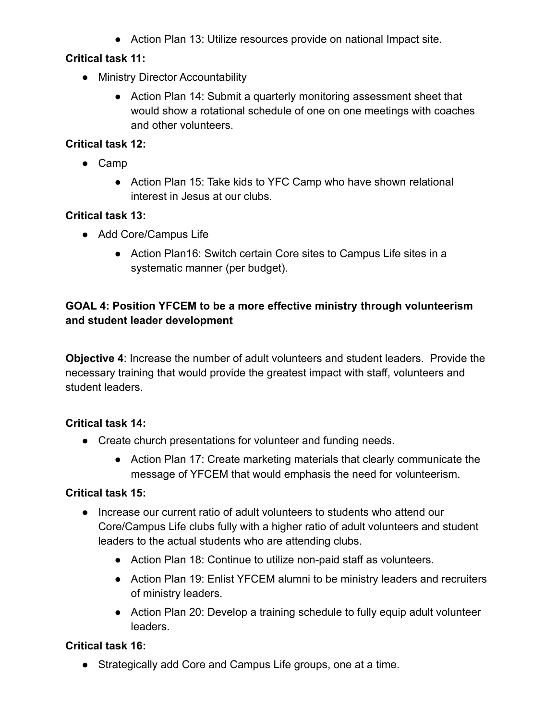● Action Plan 13: Utilize resources provide on national Impact site.

## **Critical task 11:**

- Ministry Director Accountability
	- Action Plan 14: Submit a quarterly monitoring assessment sheet that would show a rotational schedule of one on one meetings with coaches and other volunteers.

## **Critical task 12:**

- Camp
	- Action Plan 15: Take kids to YFC Camp who have shown relational interest in Jesus at our clubs.

## **Critical task 13:**

- Add Core/Campus Life
	- Action Plan16: Switch certain Core sites to Campus Life sites in a systematic manner (per budget).

## **GOAL 4: Position YFCEM to be a more effective ministry through volunteerism and student leader development**

**Objective 4**: Increase the number of adult volunteers and student leaders. Provide the necessary training that would provide the greatest impact with staff, volunteers and student leaders.

## **Critical task 14:**

- Create church presentations for volunteer and funding needs.
	- Action Plan 17: Create marketing materials that clearly communicate the message of YFCEM that would emphasis the need for volunteerism.

## **Critical task 15:**

- Increase our current ratio of adult volunteers to students who attend our Core/Campus Life clubs fully with a higher ratio of adult volunteers and student leaders to the actual students who are attending clubs.
	- Action Plan 18: Continue to utilize non-paid staff as volunteers.
	- Action Plan 19: Enlist YFCEM alumni to be ministry leaders and recruiters of ministry leaders.
	- Action Plan 20: Develop a training schedule to fully equip adult volunteer leaders.

## **Critical task 16:**

● Strategically add Core and Campus Life groups, one at a time.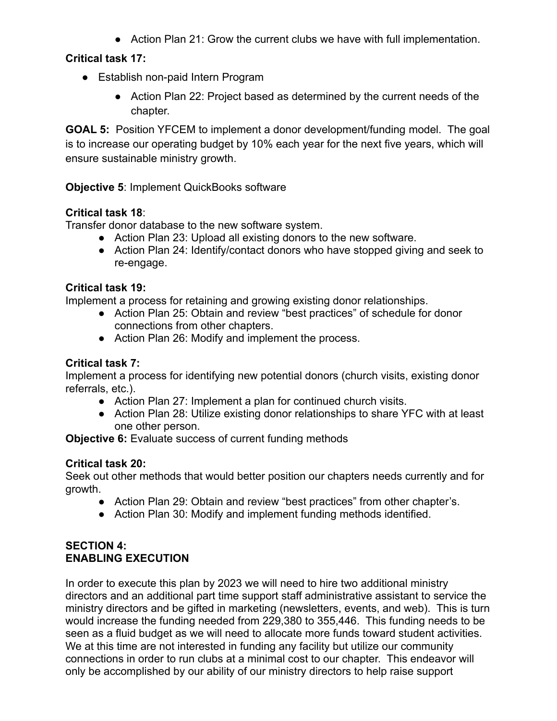● Action Plan 21: Grow the current clubs we have with full implementation.

## **Critical task 17:**

- Establish non-paid Intern Program
	- Action Plan 22: Project based as determined by the current needs of the chapter.

**GOAL 5:** Position YFCEM to implement a donor development/funding model. The goal is to increase our operating budget by 10% each year for the next five years, which will ensure sustainable ministry growth.

## **Objective 5: Implement QuickBooks software**

## **Critical task 18**:

Transfer donor database to the new software system.

- Action Plan 23: Upload all existing donors to the new software.
- Action Plan 24: Identify/contact donors who have stopped giving and seek to re-engage.

## **Critical task 19:**

Implement a process for retaining and growing existing donor relationships.

- Action Plan 25: Obtain and review "best practices" of schedule for donor connections from other chapters.
- Action Plan 26: Modify and implement the process.

## **Critical task 7:**

Implement a process for identifying new potential donors (church visits, existing donor referrals, etc.).

- Action Plan 27: Implement a plan for continued church visits.
- Action Plan 28: Utilize existing donor relationships to share YFC with at least one other person.

**Objective 6:** Evaluate success of current funding methods

#### **Critical task 20:**

Seek out other methods that would better position our chapters needs currently and for growth.

- Action Plan 29: Obtain and review "best practices" from other chapter's.
- Action Plan 30: Modify and implement funding methods identified.

#### **SECTION 4: ENABLING EXECUTION**

In order to execute this plan by 2023 we will need to hire two additional ministry directors and an additional part time support staff administrative assistant to service the ministry directors and be gifted in marketing (newsletters, events, and web). This is turn would increase the funding needed from 229,380 to 355,446. This funding needs to be seen as a fluid budget as we will need to allocate more funds toward student activities. We at this time are not interested in funding any facility but utilize our community connections in order to run clubs at a minimal cost to our chapter. This endeavor will only be accomplished by our ability of our ministry directors to help raise support